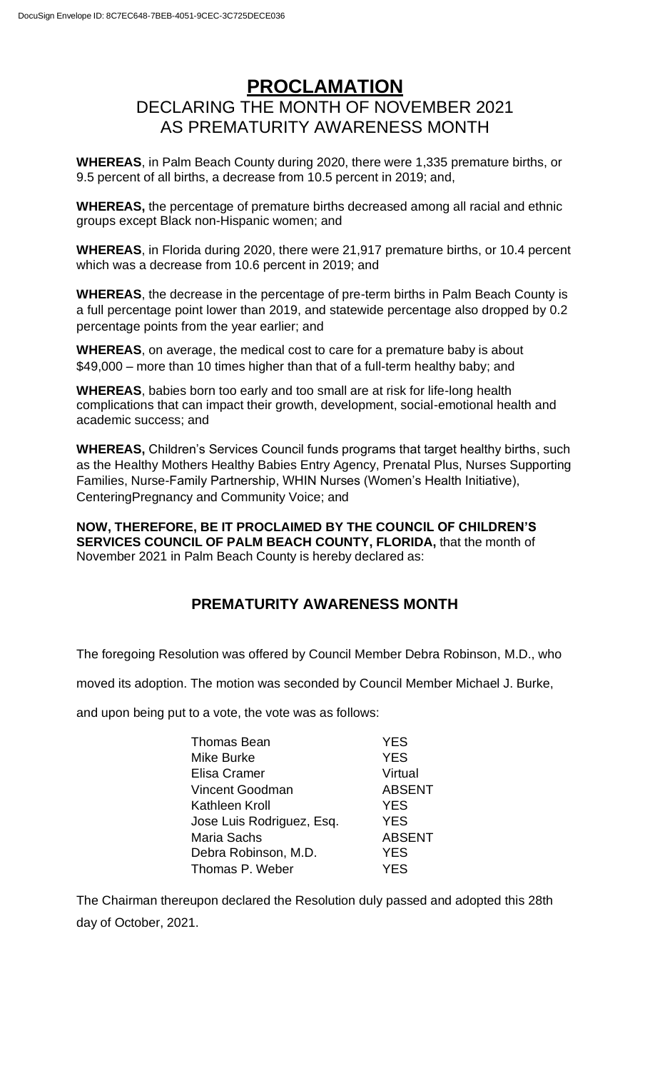## **PROCLAMATION** DECLARING THE MONTH OF NOVEMBER 2021 AS PREMATURITY AWARENESS MONTH

**WHEREAS**, in Palm Beach County during 2020, there were 1,335 premature births, or 9.5 percent of all births, a decrease from 10.5 percent in 2019; and,

**WHEREAS,** the percentage of premature births decreased among all racial and ethnic groups except Black non-Hispanic women; and

**WHEREAS**, in Florida during 2020, there were 21,917 premature births, or 10.4 percent which was a decrease from 10.6 percent in 2019; and

**WHEREAS**, the decrease in the percentage of pre-term births in Palm Beach County is a full percentage point lower than 2019, and statewide percentage also dropped by 0.2 percentage points from the year earlier; and

**WHEREAS**, on average, the medical cost to care for a premature baby is about \$49,000 – more than 10 times higher than that of a full-term healthy baby; and

**WHEREAS**, babies born too early and too small are at risk for life-long health complications that can impact their growth, development, social-emotional health and academic success; and

**WHEREAS,** Children's Services Council funds programs that target healthy births, such as the Healthy Mothers Healthy Babies Entry Agency, Prenatal Plus, Nurses Supporting Families, Nurse-Family Partnership, WHIN Nurses (Women's Health Initiative), CenteringPregnancy and Community Voice; and

**NOW, THEREFORE, BE IT PROCLAIMED BY THE COUNCIL OF CHILDREN'S SERVICES COUNCIL OF PALM BEACH COUNTY, FLORIDA,** that the month of November 2021 in Palm Beach County is hereby declared as:

## **PREMATURITY AWARENESS MONTH**

The foregoing Resolution was offered by Council Member Debra Robinson, M.D., who

moved its adoption. The motion was seconded by Council Member Michael J. Burke,

and upon being put to a vote, the vote was as follows:

| <b>Thomas Bean</b>        | <b>YES</b>    |
|---------------------------|---------------|
| Mike Burke                | <b>YES</b>    |
| Elisa Cramer              | Virtual       |
| Vincent Goodman           | <b>ABSENT</b> |
| Kathleen Kroll            | <b>YES</b>    |
| Jose Luis Rodriguez, Esq. | <b>YES</b>    |
| <b>Maria Sachs</b>        | <b>ABSENT</b> |
| Debra Robinson, M.D.      | <b>YES</b>    |
| Thomas P. Weber           | <b>YES</b>    |
|                           |               |

The Chairman thereupon declared the Resolution duly passed and adopted this 28th day of October, 2021.